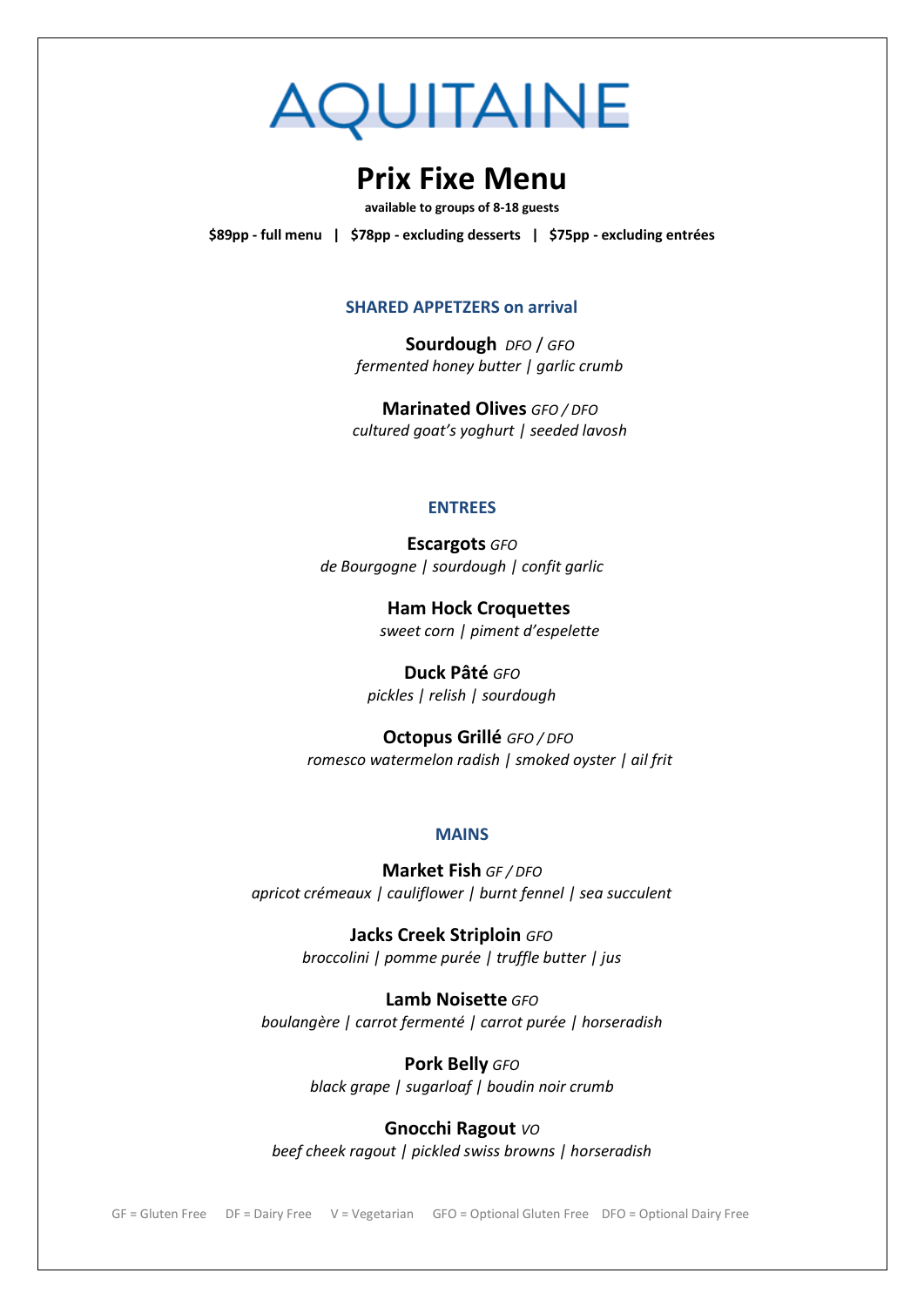# **AQUITAINE**

# **Prix Fixe Menu**

**available to groups of 8-18 guests**

**\$89pp - full menu | \$78pp - excluding desserts | \$75pp - excluding entrées**

### **SHARED APPETZERS on arrival**

**Sourdough** *DFO* / *GFO fermented honey butter | garlic crumb*

**Marinated Olives** *GFO / DFO cultured goat's yoghurt | seeded lavosh*

## **ENTREES**

**Escargots** *GFO de Bourgogne | sourdough | confit garlic*

> **Ham Hock Croquettes** *sweet corn | piment d'espelette*

**Duck Pâté** *GFO pickles | relish | sourdough*

 **Octopus Grillé** *GFO / DFO romesco watermelon radish | smoked oyster | ail frit*

# **MAINS**

**Market Fish** *GF / DFO apricot crémeaux | cauliflower | burnt fennel | sea succulent*

> **Jacks Creek Striploin** *GFO broccolini | pomme purée | truffle butter | jus*

**Lamb Noisette** *GFO boulangère | carrot fermenté | carrot purée | horseradish*

> **Pork Belly** *GFO black grape | sugarloaf | boudin noir crumb*

**Gnocchi Ragout** *VO beef cheek ragout | pickled swiss browns | horseradish*

GF = Gluten Free DF = Dairy Free V = Vegetarian GFO = Optional Gluten Free DFO = Optional Dairy Free